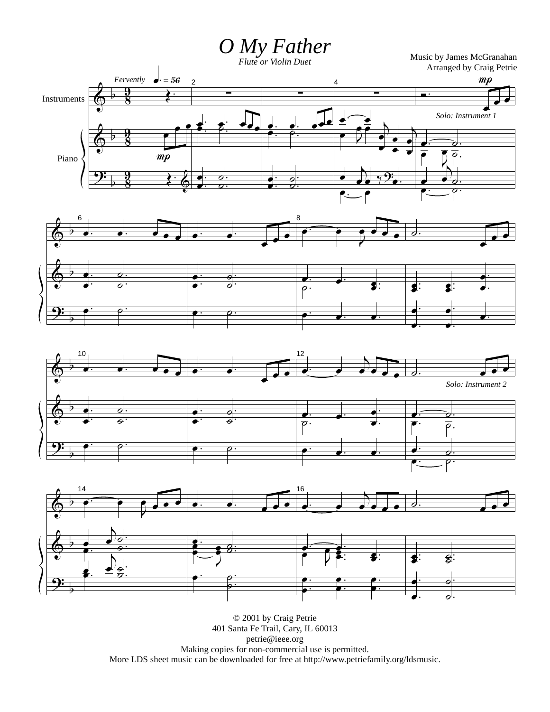*O My Father Flute or Violin Duet*

Music by James McGranahan Arranged by Craig Petrie









© 2001 by Craig Petrie 401 Santa Fe Trail, Cary, IL 60013 petrie@ieee.org Making copies for non-commercial use is permitted. More LDS sheet music can be downloaded for free at http://www.petriefamily.org/ldsmusic.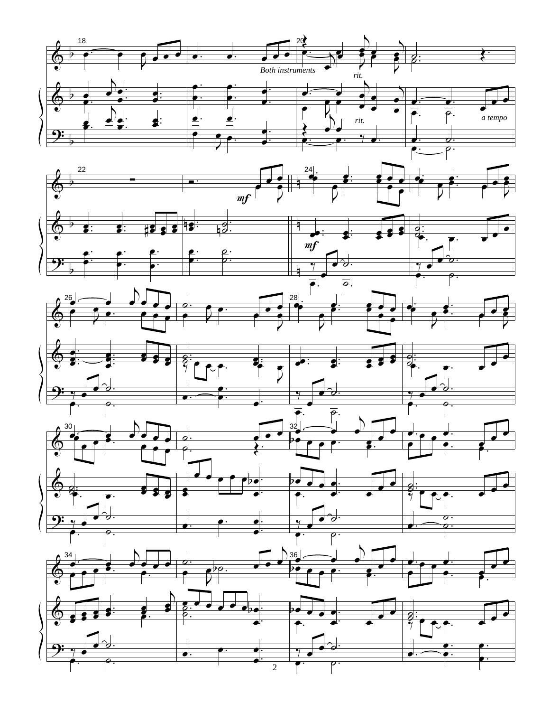